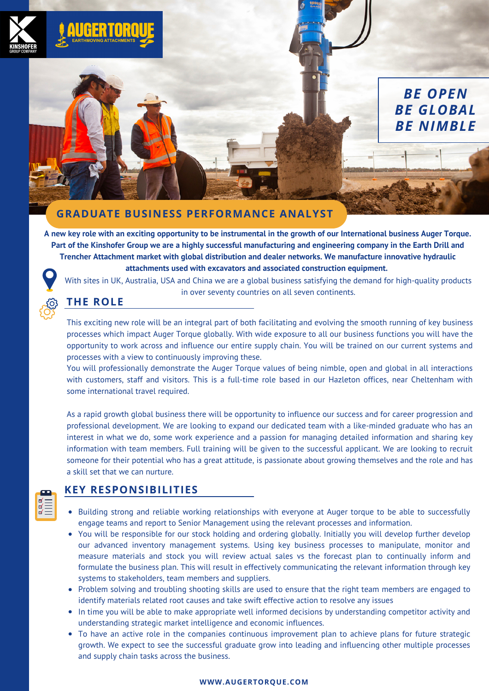

# *BE OPEN BE GLOBAL BE NIMBLE*

### **GRADUATE BUSINESS PERFORMANCE ANALYST**

A new key role with an exciting opportunity to be instrumental in the growth of our International business Auger Torque. Part of the Kinshofer Group we are a highly successful manufacturing and engineering company in the Earth Drill and **Trencher Attachment market with global distribution and dealer networks. We manufacture innovative hydraulic attachments used with excavators and associated construction equipment.**

With sites in UK, Australia, USA and China we are a global business satisfying the demand for high-quality products in over seventy countries on all seven continents.

## **THE ROLE**

 $\frac{\mathbb{R}}{\mathbb{R}}$ 

This exciting new role will be an integral part of both facilitating and evolving the smooth running of key business processes which impact Auger Torque globally. With wide exposure to all our business functions you will have the opportunity to work across and influence our entire supply chain. You will be trained on our current systems and processes with a view to continuously improving these.

You will professionally demonstrate the Auger Torque values of being nimble, open and global in all interactions with customers, staff and visitors. This is a full-time role based in our Hazleton offices, near Cheltenham with some international travel required.

As a rapid growth global business there will be opportunity to influence our success and for career progression and professional development. We are looking to expand our dedicated team with a like-minded graduate who has an interest in what we do, some work experience and a passion for managing detailed information and sharing key information with team members. Full training will be given to the successful applicant. We are looking to recruit someone for their potential who has a great attitude, is passionate about growing themselves and the role and has a skill set that we can nurture.

### **KEY RESPONSIBILITIES**

- Building strong and reliable working relationships with everyone at Auger torque to be able to successfully engage teams and report to Senior Management using the relevant processes and information.
- You will be responsible for our stock holding and ordering globally. Initially you will develop further develop our advanced inventory management systems. Using key business processes to manipulate, monitor and measure materials and stock you will review actual sales vs the forecast plan to continually inform and formulate the business plan. This will result in effectively communicating the relevant information through key systems to stakeholders, team members and suppliers.
- Problem solving and troubling shooting skills are used to ensure that the right team members are engaged to identify materials related root causes and take swift effective action to resolve any issues
- In time you will be able to make appropriate well informed decisions by understanding competitor activity and understanding strategic market intelligence and economic influences.
- To have an active role in the companies continuous improvement plan to achieve plans for future strategic growth. We expect to see the successful graduate grow into leading and influencing other multiple processes and supply chain tasks across the business.

#### **WWW.AUGERTORQUE.COM**